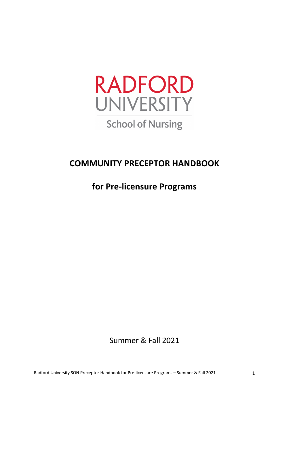

# **COMMUNITY PRECEPTOR HANDBOOK**

# **for Pre‐licensure Programs**

# Summer & Fall 2021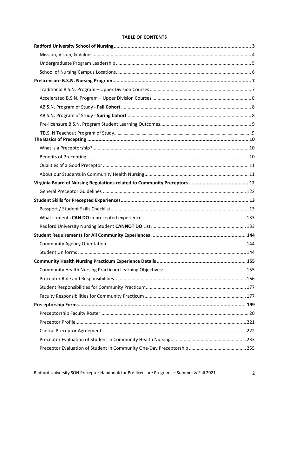#### **TABLE OF CONTENTS**

Radford University SON Preceptor Handbook for Pre-licensure Programs - Summer & Fall 2021

 $\overline{2}$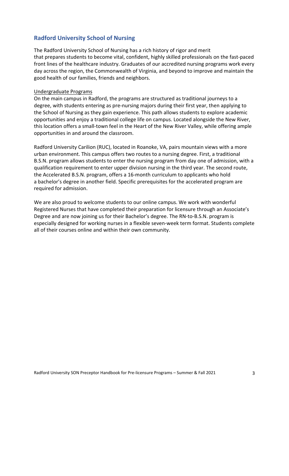# **Radford University School of Nursing**

The Radford University School of Nursing has a rich history of rigor and merit that prepares students to become vital, confident, highly skilled professionals on the fast‐paced front lines of the healthcare industry. Graduates of our accredited nursing programs work every day across the region, the Commonwealth of Virginia, and beyond to improve and maintain the good health of our families, friends and neighbors.

#### Undergraduate Programs

On the main campus in Radford, the programs are structured as traditional journeys to a degree, with students entering as pre‐nursing majors during their first year, then applying to the School of Nursing as they gain experience. This path allows students to explore academic opportunities and enjoy a traditional college life on campus. Located alongside the New River, this location offers a small‐town feel in the Heart of the New River Valley, while offering ample opportunities in and around the classroom.

Radford University Carilion (RUC), located in Roanoke, VA, pairs mountain views with a more urban environment. This campus offers two routes to a nursing degree. First, a traditional B.S.N. program allows students to enter the nursing program from day one of admission, with a qualification requirement to enter upper division nursing in the third year. The second route, the Accelerated B.S.N. program, offers a 16‐month curriculum to applicants who hold a bachelor's degree in another field. Specific prerequisites for the accelerated program are required for admission.

We are also proud to welcome students to our online campus. We work with wonderful Registered Nurses that have completed their preparation for licensure through an Associate's Degree and are now joining us for their Bachelor's degree. The RN‐to‐B.S.N. program is especially designed for working nurses in a flexible seven-week term format. Students complete all of their courses online and within their own community.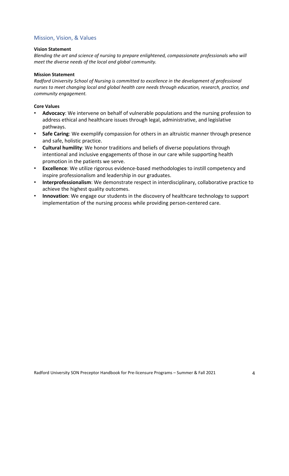#### Mission, Vision, & Values

#### **Vision Statement**

*Blending the art and science of nursing to prepare enlightened, compassionate professionals who will meet the diverse needs of the local and global community.*

#### **Mission Statement**

*Radford University School of Nursing is committed to excellence in the development of professional nurses to meet changing local and global health care needs through education, research, practice, and community engagement.*

#### **Core Values**

- **Advocacy**: We intervene on behalf of vulnerable populations and the nursing profession to address ethical and healthcare issues through legal, administrative, and legislative pathways.
- **Safe Caring**: We exemplify compassion for others in an altruistic manner through presence and safe, holistic practice.
- **Cultural humility**: We honor traditions and beliefs of diverse populations through intentional and inclusive engagements of those in our care while supporting health promotion in the patients we serve.
- **Excellence**: We utilize rigorous evidence‐based methodologies to instill competency and inspire professionalism and leadership in our graduates.
- **Interprofessionalism**: We demonstrate respect in interdisciplinary, collaborative practice to achieve the highest quality outcomes.
- **Innovation**: We engage our students in the discovery of healthcare technology to support implementation of the nursing process while providing person-centered care.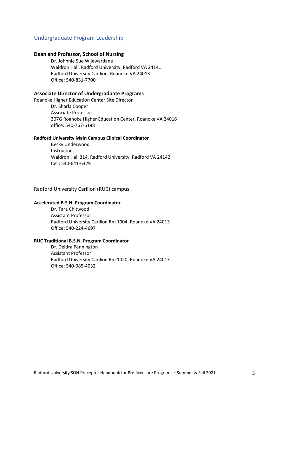#### Undergraduate Program Leadership

#### **Dean and Professor, School of Nursing**

Dr. Johnnie Sue Wijewardane Waldron Hall, Radford University, Radford VA 24141 Radford University Carilion, Roanoke VA 24013 Office: 540‐831‐7700

#### **Associate Director of Undergraduate Programs**

Roanoke Higher Education Center Site Director Dr. Sharla Cooper Associate Professor 307G Roanoke Higher Education Center, Roanoke VA 24016 office: 540‐767‐6188

#### **Radford University Main Campus Clinical Coordinator**

Becky Underwood Instructor Waldron Hall 314, Radford University, Radford VA 24142 Cell: 540‐641‐6329

Radford University Carilion (RUC) campus

#### **Accelerated B.S.N. Program Coordinator**

Dr. Tara Chitwood Assistant Professor Radford University Carilion Rm 1004, Roanoke VA 24013 Office: 540‐224‐4697

#### **RUC Traditional B.S.N. Program Coordinator**

Dr. Deidra Pennington Assistant Professor Radford University Carilion Rm 1020, Roanoke VA 24013 Office: 540‐985‐4032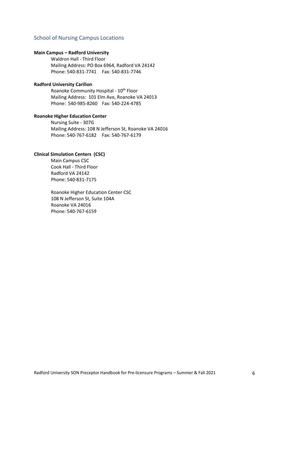#### School of Nursing Campus Locations

#### **Main Campus – Radford University**

Waldron Hall ‐ Third Floor Mailing Address: PO Box 6964, Radford VA 24142 Phone: 540‐831‐7741 Fax: 540‐831‐7746

#### **Radford University Carilion**

Roanoke Community Hospital - 10<sup>th</sup> Floor Mailing Address: 101 Elm Ave, Roanoke VA 24013 Phone: 540‐985‐8260 Fax: 540‐224‐4785

#### **Roanoke Higher Education Center**

Nursing Suite ‐ 307G Mailing Address: 108 N Jefferson St, Roanoke VA 24016 Phone: 540‐767‐6182 Fax: 540‐767‐6179

#### **Clinical Simulation Centers (CSC)**

Main Campus CSC Cook Hall ‐ Third Floor Radford VA 24142 Phone: 540‐831‐7175

Roanoke Higher Education Center CSC 108 N Jefferson St, Suite 104A Roanoke VA 24016 Phone: 540‐767‐6159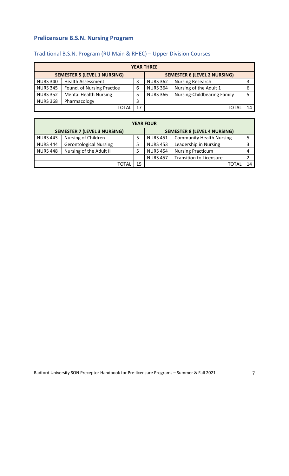# **Prelicensure B.S.N. Nursing Program**

| <b>YEAR THREE</b>                   |                              |    |                 |                                     |   |
|-------------------------------------|------------------------------|----|-----------------|-------------------------------------|---|
| <b>SEMESTER 5 (LEVEL 1 NURSING)</b> |                              |    |                 | <b>SEMESTER 6 (LEVEL 2 NURSING)</b> |   |
| <b>NURS 340</b>                     | <b>Health Assessment</b>     |    | <b>NURS 362</b> | <b>Nursing Research</b>             | 3 |
| <b>NURS 345</b>                     | Found. of Nursing Practice   | 6  | <b>NURS 364</b> | Nursing of the Adult 1              | 6 |
| <b>NURS 352</b>                     | <b>Mental Health Nursing</b> |    | <b>NURS 366</b> | <b>Nursing-Childbearing Family</b>  |   |
| <b>NURS 368</b>                     | Pharmacology                 | 3  |                 |                                     |   |
|                                     | ΓΩΤΑΙ                        | 17 |                 |                                     |   |

# Traditional B.S.N. Program (RU Main & RHEC) – Upper Division Courses

| <b>YEAR FOUR</b>                    |                               |    |                                     |                                 |    |
|-------------------------------------|-------------------------------|----|-------------------------------------|---------------------------------|----|
| <b>SEMESTER 7 (LEVEL 3 NURSING)</b> |                               |    | <b>SEMESTER 8 (LEVEL 4 NURSING)</b> |                                 |    |
| <b>NURS 443</b>                     | Nursing of Children           |    | <b>NURS 451</b>                     | <b>Community Health Nursing</b> | 5  |
| <b>NURS 444</b>                     | <b>Gerontological Nursing</b> |    | <b>NURS 453</b>                     | Leadership in Nursing           | 3  |
| <b>NURS 448</b>                     | Nursing of the Adult II       |    | <b>NURS 454</b>                     | <b>Nursing Practicum</b>        | 4  |
|                                     |                               |    | <b>NURS 457</b>                     | <b>Transition to Licensure</b>  | 2  |
|                                     | ΤΩΤΑΙ                         | 15 |                                     |                                 | 14 |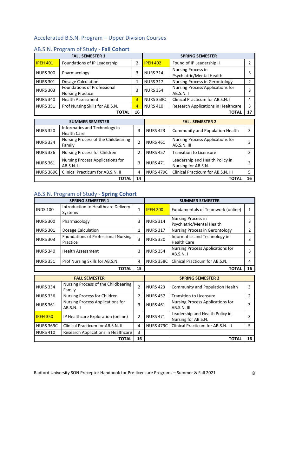# Accelerated B.S.N. Program – Upper Division Courses

|                        | <b>FALL SEMESTER 1</b>                                        |                | <b>SPRING SEMESTER</b> |                                                        |                       |
|------------------------|---------------------------------------------------------------|----------------|------------------------|--------------------------------------------------------|-----------------------|
| <b>IPEH 401</b>        | Foundations of IP Leadership                                  | 2              | <b>IPEH 402</b>        | Found of IP Leadership II                              | $\mathbf{2}^{\prime}$ |
| <b>NURS 300</b>        | Pharmacology                                                  | 3              | <b>NURS 314</b>        | Nursing Process in<br>Psychiatric/Mental Health        | 3                     |
| <b>NURS 301</b>        | Dosage Calculation                                            | 1              | <b>NURS 317</b>        | Nursing Process in Gerontology                         | $\overline{2}$        |
| <b>NURS 303</b>        | <b>Foundations of Professional</b><br><b>Nursing Practice</b> | 3              | <b>NURS 354</b>        | Nursing Process Applications for<br>AB.S.N.1           | 3                     |
| <b>NURS 340</b>        | <b>Health Assessment</b>                                      | $\overline{3}$ | <b>NURS 358C</b>       | Clinical Practicum for AB.S.N. I                       | 4                     |
| <b>NURS 351</b>        | Prof Nursing Skills for AB.S.N.                               | 4              | <b>NURS 410</b>        | Research Applications in Healthcare                    | 3                     |
|                        | <b>TOTAL</b>                                                  | 16             |                        | <b>TOTAL</b>                                           | 17                    |
| <b>SUMMER SEMESTER</b> |                                                               |                |                        |                                                        |                       |
|                        |                                                               |                |                        | <b>FALL SEMESTER 2</b>                                 |                       |
| <b>NURS 320</b>        | Informatics and Technology in<br><b>Health Care</b>           | 3              | <b>NURS 423</b>        | Community and Population Health                        | 3                     |
| <b>NURS 334</b>        | Nursing Process of the Childbearing<br>Family                 | $\overline{2}$ | <b>NURS 461</b>        | Nursing Process Applications for<br>AB.S.N. III        | 3                     |
| <b>NURS 336</b>        | Nursing Process for Children                                  | $\overline{2}$ | <b>NURS 457</b>        | <b>Transition to Licensure</b>                         | 2                     |
| <b>NURS 361</b>        | Nursing Process Applications for<br>AB.S.N.II                 | 3              | <b>NURS 471</b>        | Leadership and Health Policy in<br>Nursing for AB.S.N. | 3                     |
| <b>NURS 369C</b>       | Clinical Practicum for AB.S.N. II                             | 4              | <b>NURS 479C</b>       | Clinical Practicum for AB.S.N. III                     | 5                     |

# AB.S.N. Program of Study ‐ **Fall Cohort**

# AB.S.N. Program of Study ‐ **Spring Cohort**

|                 | <b>SPRING SEMESTER 1</b><br><b>SUMMER SEMESTER</b> |              |                  |                                                     |    |
|-----------------|----------------------------------------------------|--------------|------------------|-----------------------------------------------------|----|
| <b>INDS 100</b> | Introduction to Healthcare Delivery<br>Systems     | $\mathbf{1}$ | <b>IPEH 200</b>  | Fundamentals of Teamwork (online)                   |    |
| <b>NURS 300</b> | Pharmacology                                       | 3            | <b>NURS 314</b>  | Nursing Process in<br>Psychiatric/Mental Health     |    |
| <b>NURS 301</b> | Dosage Calculation                                 | 1            | <b>NURS 317</b>  | Nursing Process in Gerontology                      |    |
| <b>NURS 303</b> | Foundations of Professional Nursing<br>Practice    | 3            | <b>NURS 320</b>  | Informatics and Technology in<br><b>Health Care</b> |    |
| <b>NURS 340</b> | <b>Health Assessment</b>                           | 3            | <b>NURS 354</b>  | Nursing Process Applications for<br>AB.S.N. I       |    |
| <b>NURS 351</b> | Prof Nursing Skills for AB.S.N.                    | 4            | <b>NURS 358C</b> | Clinical Practicum for AB.S.N. I                    | 4  |
|                 | <b>TOTAL</b>                                       | 15           |                  | <b>TOTAI</b>                                        | 16 |

| <b>FALL SEMESTER</b> |                                                |                | <b>SPRING SEMESTER 2</b> |                                                        |    |
|----------------------|------------------------------------------------|----------------|--------------------------|--------------------------------------------------------|----|
| <b>NURS 334</b>      | Nursing Process of the Childbearing<br>Family  | $\overline{2}$ | <b>NURS 423</b>          | Community and Population Health                        | 3  |
| <b>NURS 336</b>      | Nursing Process for Children                   | $\mathfrak z$  | <b>NURS 457</b>          | <b>Transition to Licensure</b>                         |    |
| <b>NURS 361</b>      | Nursing Process Applications for<br>AB.S.N. II | 3              | <b>NURS 461</b>          | Nursing Process Applications for<br>AB.S.N. III        | 3  |
| <b>IPEH 350</b>      | IP Healthcare Exploration (online)             | $\mathfrak z$  | <b>NURS 471</b>          | Leadership and Health Policy in<br>Nursing for AB.S.N. | 3  |
| <b>NURS 369C</b>     | Clinical Practicum for AB.S.N. II              | 4              | <b>NURS 479C</b>         | Clinical Practicum for AB.S.N. III                     | 5  |
| <b>NURS 410</b>      | Research Applications in Healthcare            | 3              |                          |                                                        |    |
|                      | <b>TOTAL</b>                                   | 16             |                          | ΤΟΤΑΙ                                                  | 16 |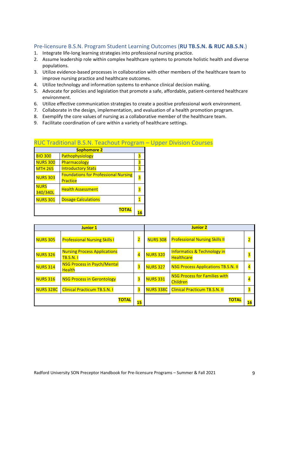### Pre‐licensure B.S.N. Program Student Learning Outcomes (**RU TB.S.N. & RUC AB.S.N**.)

- 1. Integrate life-long learning strategies into professional nursing practice.
- 2. Assume leadership role within complex healthcare systems to promote holistic health and diverse populations.
- 3. Utilize evidence‐based processes in collaboration with other members of the healthcare team to improve nursing practice and healthcare outcomes.
- 4. Utilize technology and information systems to enhance clinical decision making.
- 5. Advocate for policies and legislation that promote a safe, affordable, patient‐centered healthcare environment.
- 6. Utilize effective communication strategies to create a positive professional work environment.
- 7. Collaborate in the design, implementation, and evaluation of a health promotion program.
- 8. Exemplify the core values of nursing as a collaborative member of the healthcare team.
- 9. Facilitate coordination of care within a variety of healthcare settings.

### RUC Traditional B.S.N. Teachout Program – Upper Division Courses

|                         | <b>Sophomore 2</b>                                             |  |
|-------------------------|----------------------------------------------------------------|--|
| <b>BIO 300</b>          | Pathophysiology                                                |  |
| <b>NURS 300</b>         | Pharmacology                                                   |  |
| <b>MTH 265</b>          | <b>Introductory Stats</b>                                      |  |
| <b>NURS 303</b>         | <b>Foundations for Professional Nursing</b><br><b>Practice</b> |  |
| <b>NURS</b><br>340/340L | <b>Health Assessment</b>                                       |  |
| <b>NURS 301</b>         | <b>Dosage Calculations</b>                                     |  |
|                         | ΤΟΤΑL                                                          |  |

| <b>Junior 1</b>  |                                                        |                         | <b>Junior 2</b>  |                                                             |                         |
|------------------|--------------------------------------------------------|-------------------------|------------------|-------------------------------------------------------------|-------------------------|
| <b>NURS 305</b>  | <b>Professional Nursing Skills I</b>                   | $\overline{\mathbf{2}}$ | <b>NURS 308</b>  | <b>Professional Nursing Skills II</b>                       | $\overline{\mathbf{2}}$ |
| <b>NURS 326</b>  | <b>Nursing Process Applications</b><br><b>TB.S.N.1</b> | $\overline{\mathbf{4}}$ | <b>NURS 320</b>  | <b>Informatics &amp; Technology in</b><br><b>Healthcare</b> | $\overline{\mathbf{3}}$ |
| <b>NURS 314</b>  | <b>NSG Process in Psych/Mental</b><br><b>Health</b>    | $\overline{\mathbf{3}}$ | <b>NURS 327</b>  | <b>NSG Process Applications TB.S.N. II</b>                  | $\overline{4}$          |
| <b>NURS 316</b>  | <b>NSG Process in Gerontology</b>                      | $\overline{\mathbf{3}}$ | <b>NURS 331</b>  | <b>NSG Process for Families with</b><br>Children            | $\overline{4}$          |
| <b>NURS 328C</b> | <b>Clinical Practicum TB.S.N. I</b>                    | 3                       | <b>NURS 338C</b> | <b>Clinical Practicum TB.S.N. II</b>                        | 3                       |
|                  | <b>TOTAL</b>                                           | 15                      |                  | <b>TOTAL</b>                                                | 16                      |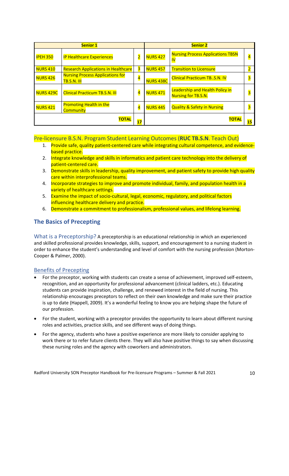| <b>Senior 1</b>  |                                                               |                         | <b>Senior 2</b>  |                                                               |                         |
|------------------|---------------------------------------------------------------|-------------------------|------------------|---------------------------------------------------------------|-------------------------|
| <b>IPEH 350</b>  | <b>IP Healthcare Experiences</b>                              | $\overline{\mathbf{2}}$ | <b>NURS 427</b>  | <b>Nursing Process Applications TBSN</b><br><u>IV</u>         | $\overline{\mathbf{r}}$ |
| <b>NURS 410</b>  | <b>Research Applications in Healthcare</b>                    | 3                       | <b>NURS 457</b>  | <b>Transition to Licensure</b>                                |                         |
| <b>NURS 426</b>  | <b>Nursing Process Applications for</b><br><b>TB.S.N. III</b> | $\overline{\mathbf{4}}$ | <b>NURS 438C</b> | <b>Clinical Practicum TBS.N. IV</b>                           |                         |
| <b>NURS 429C</b> | <b>Clinical Practicum TB.S.N. III</b>                         | $\overline{\mathbf{4}}$ | <b>NURS 471</b>  | Leadership and Health Policy in<br><b>Nursing for TB.S.N.</b> | $\overline{\mathbf{3}}$ |
| <b>NURS 421</b>  | <b>Promoting Health in the</b><br>Community                   | $\overline{\mathbf{4}}$ | <b>NURS 445</b>  | <b>Quality &amp; Safety in Nursing</b>                        | З                       |
|                  | <b>TOTAL</b>                                                  | 17                      |                  | ΤΟΤΑΙ                                                         | 15                      |

Pre‐licensure B.S.N. Program Student Learning Outcomes (**RUC TB.S.N**. Teach Out)

- 1. Provide safe, quality patient-centered care while integrating cultural competence, and evidencebased practice.
- 2. Integrate knowledge and skills in informatics and patient care technology into the delivery of patient‐centered care.
- 3. Demonstrate skills in leadership, quality improvement, and patient safety to provide high quality care within interprofessional teams.
- 4. Incorporate strategies to improve and promote individual, family, and population health in a variety of healthcare settings.
- 5. Examine the impact of socio-cultural, legal, economic, regulatory, and political factors influencing healthcare delivery and practice.
- 6. Demonstrate a commitment to professionalism, professional values, and lifelong learning.

# **The Basics of Precepting**

What is a Preceptorship? A preceptorship is an educational relationship in which an experienced and skilled professional provides knowledge, skills, support, and encouragement to a nursing student in order to enhance the student's understanding and level of comfort with the nursing profession (Morton‐ Cooper & Palmer, 2000).

# Benefits of Precepting

- For the preceptor, working with students can create a sense of achievement, improved self‐esteem, recognition, and an opportunity for professional advancement (clinical ladders, etc.). Educating students can provide inspiration, challenge, and renewed interest in the field of nursing. This relationship encourages preceptors to reflect on their own knowledge and make sure their practice is up to date (Happell, 2009). It's a wonderful feeling to know you are helping shape the future of our profession.
- For the student, working with a preceptor provides the opportunity to learn about different nursing roles and activities, practice skills, and see different ways of doing things.
- For the agency, students who have a positive experience are more likely to consider applying to work there or to refer future clients there. They will also have positive things to say when discussing these nursing roles and the agency with coworkers and administrators.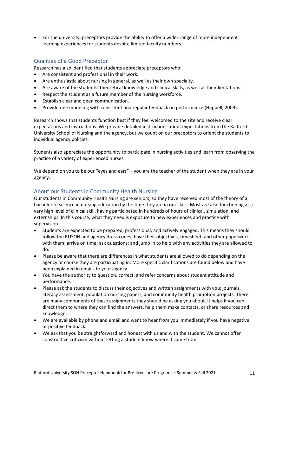For the university, preceptors provide the ability to offer a wider range of more independent learning experiences for students despite limited faculty numbers.

#### Qualities of a Good Preceptor

Research has also identified that students appreciate preceptors who:

- Are consistent and professional in their work.
- Are enthusiastic about nursing in general, as well as their own specialty.
- Are aware of the students' theoretical knowledge and clinical skills, as well as their limitations.
- Respect the student as a future member of the nursing workforce.
- Establish clear and open communication.
- Provide role modeling with consistent and regular feedback on performance (Happell, 2009).

Research shows that students function best if they feel welcomed to the site and receive clear expectations and instructions. We provide detailed instructions about expectations from the Radford University School of Nursing and the agency, but we count on our preceptors to orient the students to individual agency policies.

Students also appreciate the opportunity to participate in nursing activities and learn from observing the practice of a variety of experienced nurses.

We depend on you to be our "eyes and ears" – you are the teacher of the student when they are in your agency.

#### About our Students in Community Health Nursing

Our students in Community Health Nursing are seniors, so they have received most of the theory of a bachelor of science in nursing education by the time they are in our class. Most are also functioning at a very high level of clinical skill, having participated in hundreds of hours of clinical, simulation, and externships. In this course, what they need is exposure to new experiences and practice with supervision.

- Students are expected to be prepared, professional, and actively engaged. This means they should follow the RUSON and agency dress codes; have their objectives, timesheet, and other paperwork with them; arrive on time; ask questions; and jump in to help with any activities they are allowed to do.
- Please be aware that there are differences in what students are allowed to do depending on the agency or course they are participating in. More specific clarifications are found below and have been explained in emails to your agency.
- You have the authority to question, correct, and refer concerns about student attitude and performance.
- Please ask the students to discuss their objectives and written assignments with you: journals, literacy assessment, population nursing papers, and community health promotion projects. There are many components of these assignments they should be asking you about. It helps if you can direct them to where they can find the answers, help them make contacts, or share resources and knowledge.
- We are available by phone and email and want to hear from you immediately if you have negative or positive feedback.
- We ask that you be straightforward and honest with us and with the student. We cannot offer constructive criticism without letting a student know where it came from.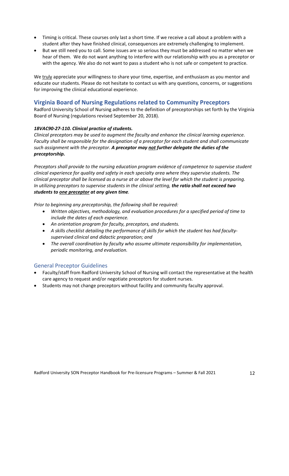- Timing is critical. These courses only last a short time. If we receive a call about a problem with a student after they have finished clinical, consequences are extremely challenging to implement.
- But we still need you to call. Some issues are so serious they must be addressed no matter when we hear of them. We do not want anything to interfere with our relationship with you as a preceptor or with the agency. We also do not want to pass a student who is not safe or competent to practice.

We truly appreciate your willingness to share your time, expertise, and enthusiasm as you mentor and educate our students. Please do not hesitate to contact us with any questions, concerns, or suggestions for improving the clinical educational experience.

#### **Virginia Board of Nursing Regulations related to Community Preceptors**

Radford University School of Nursing adheres to the definition of preceptorships set forth by the Virginia Board of Nursing (regulations revised September 20, 2018).

#### *18VAC90‐27‐110. Clinical practice of students.*

*Clinical preceptors may be used to augment the faculty and enhance the clinical learning experience. Faculty shall be responsible for the designation of a preceptor for each student and shall communicate such assignment with the preceptor. A preceptor may not further delegate the duties of the preceptorship.* 

*Preceptors shall provide to the nursing education program evidence of competence to supervise student clinical experience for quality and safety in each specialty area where they supervise students. The* clinical preceptor shall be licensed as a nurse at or above the level for which the student is preparing. *In utilizing preceptors to supervise students in the clinical setting, the ratio shall not exceed two students to one preceptor at any given time.* 

*Prior to beginning any preceptorship, the following shall be required:* 

- *Written objectives, methodology, and evaluation procedures for a specified period of time to include the dates of each experience.*
- *An orientation program for faculty, preceptors, and students.*
- *A skills checklist detailing the performance of skills for which the student has had faculty‐ supervised clinical and didactic preparation; and*
- *The overall coordination by faculty who assume ultimate responsibility for implementation, periodic monitoring, and evaluation.*

#### General Preceptor Guidelines

- Faculty/staff from Radford University School of Nursing will contact the representative at the health care agency to request and/or negotiate preceptors for student nurses.
- Students may not change preceptors without facility and community faculty approval.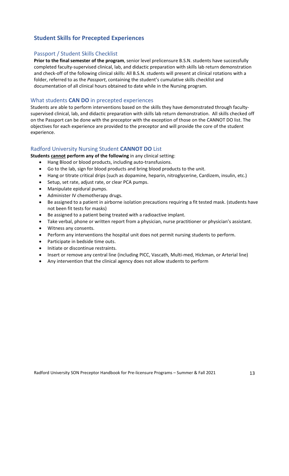# **Student Skills for Precepted Experiences**

#### Passport / Student Skills Checklist

**Prior to the final semester of the program**, senior level prelicensure B.S.N. students have successfully completed faculty‐supervised clinical, lab, and didactic preparation with skills lab return demonstration and check‐off of the following clinical skills: All B.S.N. students will present at clinical rotations with a folder, referred to as the *Passport*, containing the student's cumulative skills checklist and documentation of all clinical hours obtained to date while in the Nursing program.

#### What students **CAN DO** in precepted experiences

Students are able to perform interventions based on the skills they have demonstrated through faculty‐ supervised clinical, lab, and didactic preparation with skills lab return demonstration. All skills checked off on the Passport can be done with the preceptor with the exception of those on the CANNOT DO list. The objectives for each experience are provided to the preceptor and will provide the core of the student experience.

#### Radford University Nursing Student **CANNOT DO** List

**Students cannot perform any of the following** in any clinical setting:

- Hang Blood or blood products, including auto‐transfusions.
- Go to the lab, sign for blood products and bring blood products to the unit.
- Hang or titrate critical drips (such as dopamine, heparin, nitroglycerine, Cardizem, insulin, etc.)
- Setup, set rate, adjust rate, or clear PCA pumps.
- Manipulate epidural pumps.
- Administer IV chemotherapy drugs.
- Be assigned to a patient in airborne isolation precautions requiring a fit tested mask. (students have not been fit tests for masks)
- Be assigned to a patient being treated with a radioactive implant.
- Take verbal, phone or written report from a physician, nurse practitioner or physician's assistant.
- Witness any consents.
- Perform any interventions the hospital unit does not permit nursing students to perform.
- Participate in bedside time outs.
- Initiate or discontinue restraints.
- Insert or remove any central line (including PICC, Vascath, Multi-med, Hickman, or Arterial line)
- Any intervention that the clinical agency does not allow students to perform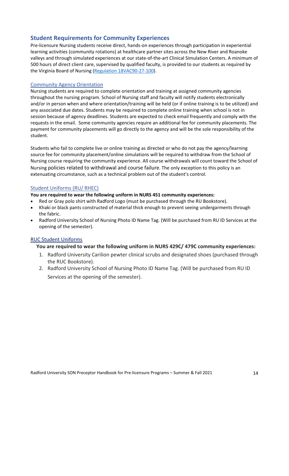# **Student Requirements for Community Experiences**

Pre‐licensure Nursing students receive direct, hands‐on experiences through participation in experiential learning activities (community rotations) at healthcare partner sites across the New River and Roanoke valleys and through simulated experiences at our state-of-the-art Clinical Simulation Centers. A minimum of 500 hours of direct client care, supervised by qualified faculty, is provided to our students as required by the Virginia Board of Nursing (Regulation 18VAC90-27-100).

#### Community Agency Orientation

Nursing students are required to complete orientation and training at assigned community agencies throughout the nursing program. School of Nursing staff and faculty will notify students electronically and/or in person when and where orientation/training will be held (or if online training is to be utilized) and any associated due dates. Students may be required to complete online training when school is not in session because of agency deadlines. Students are expected to check email frequently and comply with the requests in the email. Some community agencies require an additional fee for community placements. The payment for community placements will go directly to the agency and will be the sole responsibility of the student.

Students who fail to complete live or online training as directed or who do not pay the agency/learning source fee for community placement/online simulations will be required to withdraw from the School of Nursing course requiring the community experience. All course withdrawals will count toward the School of Nursing policies related to withdrawal and course failure. The only exception to this policy is an extenuating circumstance, such as a technical problem out of the student's control.

### Student Uniforms (RU/ RHEC)

**You are required to wear the following uniform in NURS 451 community experiences:**

- Red or Gray polo shirt with Radford Logo (must be purchased through the RU Bookstore).
- Khaki or black pants constructed of material thick enough to prevent seeing undergarments through the fabric.
- Radford University School of Nursing Photo ID Name Tag. (Will be purchased from RU ID Services at the opening of the semester).

#### RUC Student Uniforms

# **You are required to wear the following uniform in NURS 429C/ 479C community experiences:**

- 1. Radford University Carilion pewter clinical scrubs and designated shoes (purchased through the RUC Bookstore).
- 2. Radford University School of Nursing Photo ID Name Tag. (Will be purchased from RU ID Services at the opening of the semester).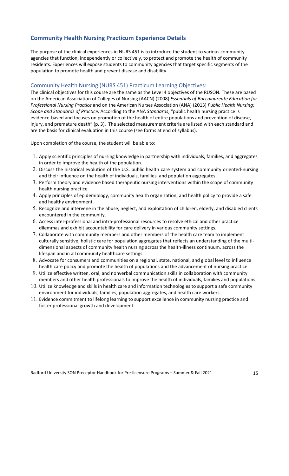# **Community Health Nursing Practicum Experience Details**

The purpose of the clinical experiences in NURS 451 is to introduce the student to various community agencies that function, independently or collectively, to protect and promote the health of community residents. Experiences will expose students to community agencies that target specific segments of the population to promote health and prevent disease and disability.

#### Community Health Nursing (NURS 451) Practicum Learning Objectives:

The clinical objectives for this course are the same as the Level 4 objectives of the RUSON. These are based on the American Association of Colleges of Nursing (AACN) (2008) *Essentials of Baccalaureate Education for Professional Nursing Practice* and on the American Nurses Association (ANA) (2013) *Public Health Nursing: Scope and Standards of Practice*. According to the ANA *Standards*, "public health nursing practice is evidence-based and focuses on promotion of the health of entire populations and prevention of disease, injury, and premature death" (p. 3). The selected measurement criteria are listed with each standard and are the basis for clinical evaluation in this course (see forms at end of syllabus).

Upon completion of the course, the student will be able to:

- 1. Apply scientific principles of nursing knowledge in partnership with individuals, families, and aggregates in order to improve the health of the population.
- 2. Discuss the historical evolution of the U.S. public health care system and community oriented‐nursing and their influence on the health of individuals, families, and population aggregates.
- 3. Perform theory and evidence based therapeutic nursing interventions within the scope of community health nursing practice.
- 4. Apply principles of epidemiology, community health organization, and health policy to provide a safe and healthy environment.
- 5. Recognize and intervene in the abuse, neglect, and exploitation of children, elderly, and disabled clients encountered in the community.
- 6. Access inter‐professional and intra‐professional resources to resolve ethical and other practice dilemmas and exhibit accountability for care delivery in various community settings.
- 7. Collaborate with community members and other members of the health care team to implement culturally sensitive, holistic care for population aggregates that reflects an understanding of the multi‐ dimensional aspects of community health nursing across the health‐illness continuum, across the lifespan and in all community healthcare settings.
- 8. Advocate for consumers and communities on a regional, state, national, and global level to influence health care policy and promote the health of populations and the advancement of nursing practice.
- 9. Utilize effective written, oral, and nonverbal communication skills in collaboration with community members and other health professionals to improve the health of individuals, families and populations.
- 10. Utilize knowledge and skills in health care and information technologies to support a safe community environment for individuals, families, population aggregates, and health care workers.
- 11. Evidence commitment to lifelong learning to support excellence in community nursing practice and foster professional growth and development.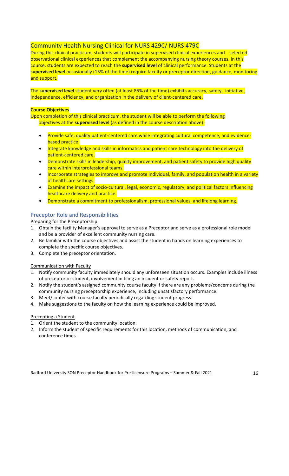# Community Health Nursing Clinical for NURS 429C/ NURS 479C

During this clinical practicum, students will participate in supervised clinical experiences and selected observational clinical experiences that complement the accompanying nursing theory courses. In this course, students are expected to reach the **supervised level** of clinical performance. Students at the **supervised level** occasionally (15% of the time) require faculty or preceptor direction, guidance, monitoring and support.

The **supervised level** student very often (at least 85% of the time) exhibits accuracy, safety, initiative, independence, efficiency, and organization in the delivery of client-centered care.

#### **Course Objectives**

Upon completion of this clinical practicum, the student will be able to perform the following objectives at the **supervised level** (as defined in the course description above):

- Provide safe, quality patient‐centered care while integrating cultural competence, and evidence‐ based practice.
- Integrate knowledge and skills in informatics and patient care technology into the delivery of patient‐centered care.
- Demonstrate skills in leadership, quality improvement, and patient safety to provide high quality care within interprofessional teams.
- Incorporate strategies to improve and promote individual, family, and population health in a variety of healthcare settings.
- Examine the impact of socio-cultural, legal, economic, regulatory, and political factors influencing healthcare delivery and practice.
- Demonstrate a commitment to professionalism, professional values, and lifelong learning.

# Preceptor Role and Responsibilities

Preparing for the Preceptorship

- 1. Obtain the facility Manager's approval to serve as a Preceptor and serve as a professional role model and be a provider of excellent community nursing care.
- 2. Be familiar with the course objectives and assist the student in hands on learning experiences to complete the specific course objectives.
- 3. Complete the preceptor orientation.

Communication with Faculty

- 1. Notify community faculty immediately should any unforeseen situation occurs. Examples include illness of preceptor or student, involvement in filing an incident or safety report.
- 2. Notify the student's assigned community course faculty if there are any problems/concerns during the community nursing preceptorship experience, including unsatisfactory performance.
- 3. Meet/confer with course faculty periodically regarding student progress.
- 4. Make suggestions to the faculty on how the learning experience could be improved.

#### Precepting a Student

- 1. Orient the student to the community location.
- 2. Inform the student of specific requirements for this location, methods of communication, and conference times.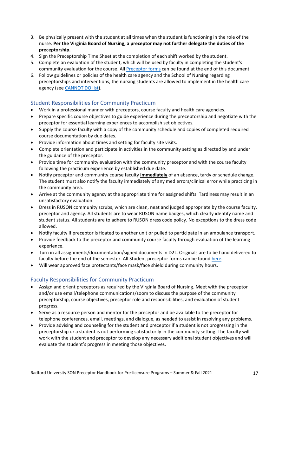- 3. Be physically present with the student at all times when the student is functioning in the role of the nurse. **Per the Virginia Board of Nursing, a preceptor may not further delegate the duties of the preceptorship.**
- 4. Sign the Preceptorship Time Sheet at the completion of each shift worked by the student.
- 5. Complete an evaluation of the student, which will be used by faculty in completing the student's community evaluation for the course. All **Preceptor forms** can be found at the end of this document.
- 6. Follow guidelines or policies of the health care agency and the School of Nursing regarding preceptorships and interventions, the nursing students are allowed to implement in the health care agency (see CANNOT DO list).

# Student Responsibilities for Community Practicum

- Work in a professional manner with preceptors, course faculty and health care agencies.
- Prepare specific course objectives to guide experience during the preceptorship and negotiate with the preceptor for essential learning experiences to accomplish set objectives.
- Supply the course faculty with a copy of the community schedule and copies of completed required course documentation by due dates.
- Provide information about times and setting for faculty site visits.
- Complete orientation and participate in activities in the community setting as directed by and under the guidance of the preceptor.
- Provide time for community evaluation with the community preceptor and with the course faculty following the practicum experience by established due date.
- Notify preceptor and community course faculty **immediately** of an absence, tardy or schedule change. The student must also notify the faculty immediately of any med errors/clinical error while practicing in the community area.
- Arrive at the community agency at the appropriate time for assigned shifts. Tardiness may result in an unsatisfactory evaluation.
- Dress in RUSON community scrubs, which are clean, neat and judged appropriate by the course faculty, preceptor and agency. All students are to wear RUSON name badges, which clearly identify name and student status. All students are to adhere to RUSON dress code policy. No exceptions to the dress code allowed.
- Notify faculty if preceptor is floated to another unit or pulled to participate in an ambulance transport.
- Provide feedback to the preceptor and community course faculty through evaluation of the learning experience.
- Turn in all assignments/documentation/signed documents in D2L. Originals are to be hand delivered to faculty before the end of the semester. All Student preceptor forms can be found here.
- Will wear approved face protectants/face mask/face shield during community hours.

# Faculty Responsibilities for Community Practicum

- Assign and orient preceptors as required by the Virginia Board of Nursing. Meet with the preceptor and/or use email/telephone communications/zoom to discuss the purpose of the community preceptorship, course objectives, preceptor role and responsibilities, and evaluation of student progress.
- Serve as a resource person and mentor for the preceptor and be available to the preceptor for telephone conferences, email, meetings, and dialogue, as needed to assist in resolving any problems.
- Provide advising and counseling for the student and preceptor if a student is not progressing in the preceptorship or a student is not performing satisfactorily in the community setting. The faculty will work with the student and preceptor to develop any necessary additional student objectives and will evaluate the student's progress in meeting those objectives.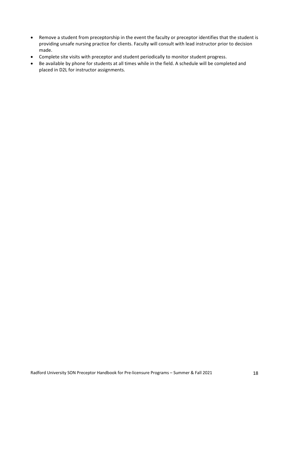- Remove a student from preceptorship in the event the faculty or preceptor identifies that the student is providing unsafe nursing practice for clients. Faculty will consult with lead instructor prior to decision made.
- Complete site visits with preceptor and student periodically to monitor student progress.
- Be available by phone for students at all times while in the field. A schedule will be completed and placed in D2L for instructor assignments.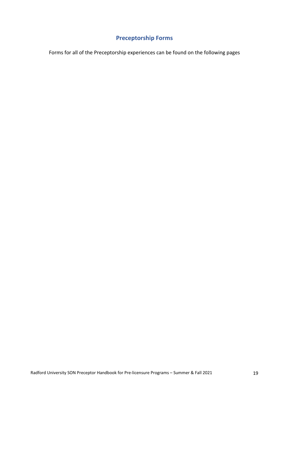# **Preceptorship Forms**

Forms for all of the Preceptorship experiences can be found on the following pages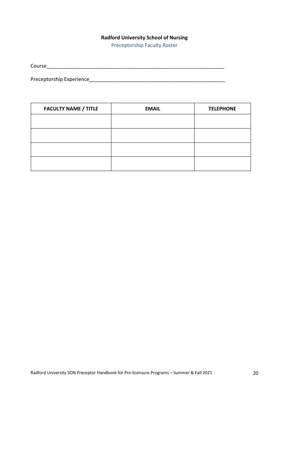# **Radford University School of Nursing**

Preceptorship Faculty Roster

Course\_\_\_\_\_\_\_\_\_\_\_\_\_\_\_\_\_\_\_\_\_\_\_\_\_\_\_\_\_\_\_\_\_\_\_\_\_\_\_\_\_\_\_\_\_\_\_\_\_\_\_\_\_\_\_\_\_\_\_\_\_\_\_

Preceptorship Experience\_\_\_\_\_\_\_\_\_\_\_\_\_\_\_\_\_\_\_\_\_\_\_\_\_\_\_\_\_\_\_\_\_\_\_\_\_\_\_\_\_\_\_\_\_\_\_\_

| <b>FACULTY NAME / TITLE</b> | <b>EMAIL</b> | <b>TELEPHONE</b> |
|-----------------------------|--------------|------------------|
|                             |              |                  |
|                             |              |                  |
|                             |              |                  |
|                             |              |                  |
|                             |              |                  |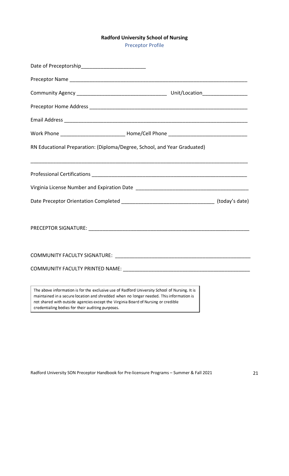# **Radford University School of Nursing**

Preceptor Profile

| RN Educational Preparation: (Diploma/Degree, School, and Year Graduated)                                                                                                                                                                                                                                                           |  |
|------------------------------------------------------------------------------------------------------------------------------------------------------------------------------------------------------------------------------------------------------------------------------------------------------------------------------------|--|
|                                                                                                                                                                                                                                                                                                                                    |  |
|                                                                                                                                                                                                                                                                                                                                    |  |
|                                                                                                                                                                                                                                                                                                                                    |  |
|                                                                                                                                                                                                                                                                                                                                    |  |
|                                                                                                                                                                                                                                                                                                                                    |  |
|                                                                                                                                                                                                                                                                                                                                    |  |
|                                                                                                                                                                                                                                                                                                                                    |  |
|                                                                                                                                                                                                                                                                                                                                    |  |
|                                                                                                                                                                                                                                                                                                                                    |  |
| The above information is for the exclusive use of Radford University School of Nursing. It is<br>maintained in a secure location and shredded when no longer needed. This information is<br>not shared with outside agencies except the Virginia Board of Nursing or credible<br>credentialing bodies for their auditing purposes. |  |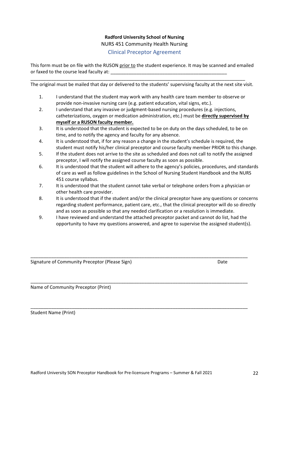# **Radford University School of Nursing** NURS 451 Community Health Nursing

Clinical Preceptor Agreement

This form must be on file with the RUSON prior to the student experience. It may be scanned and emailed or faxed to the course lead faculty at:

The original must be mailed that day or delivered to the students' supervising faculty at the next site visit.

\_\_\_\_\_\_\_\_\_\_\_\_\_\_\_\_\_\_\_\_\_\_\_\_\_\_\_\_\_\_\_\_\_\_\_\_\_\_\_\_\_\_\_\_\_\_\_\_\_\_\_\_\_\_\_\_\_\_\_\_\_\_\_\_\_\_\_\_\_\_\_\_\_\_\_\_\_\_\_\_\_\_\_

- 1. I understand that the student may work with any health care team member to observe or provide non-invasive nursing care (e.g. patient education, vital signs, etc.).
- 2. I understand that any invasive or judgment-based nursing procedures (e.g. injections, catheterizations, oxygen or medication administration, etc.) must be **directly supervised by myself or a RUSON faculty member.**
- 3. It is understood that the student is expected to be on duty on the days scheduled, to be on time, and to notify the agency and faculty for any absence.
- 4. It is understood that, if for any reason a change in the student's schedule is required, the student must notify his/her clinical preceptor and course faculty member PRIOR to this change.
- 5. If the student does not arrive to the site as scheduled and does not call to notify the assigned preceptor, I will notify the assigned course faculty as soon as possible.
- 6. It is understood that the student will adhere to the agency's policies, procedures, and standards of care as well as follow guidelines in the School of Nursing Student Handbook and the NURS 451 course syllabus.
- 7. It is understood that the student cannot take verbal or telephone orders from a physician or other health care provider.
- 8. It is understood that if the student and/or the clinical preceptor have any questions or concerns regarding student performance, patient care, etc., that the clinical preceptor will do so directly and as soon as possible so that any needed clarification or a resolution is immediate.
- 9. I have reviewed and understand the attached preceptor packet and cannot do list, had the opportunity to have my questions answered, and agree to supervise the assigned student(s).

\_\_\_\_\_\_\_\_\_\_\_\_\_\_\_\_\_\_\_\_\_\_\_\_\_\_\_\_\_\_\_\_\_\_\_\_\_\_\_\_\_\_\_\_\_\_\_\_\_\_\_\_\_\_\_\_\_\_\_\_\_\_\_\_\_\_\_\_\_\_\_\_\_\_\_\_\_\_\_\_\_\_\_\_

\_\_\_\_\_\_\_\_\_\_\_\_\_\_\_\_\_\_\_\_\_\_\_\_\_\_\_\_\_\_\_\_\_\_\_\_\_\_\_\_\_\_\_\_\_\_\_\_\_\_\_\_\_\_\_\_\_\_\_\_\_\_\_\_\_\_\_\_\_\_\_\_\_\_\_\_\_\_\_\_\_\_\_\_

\_\_\_\_\_\_\_\_\_\_\_\_\_\_\_\_\_\_\_\_\_\_\_\_\_\_\_\_\_\_\_\_\_\_\_\_\_\_\_\_\_\_\_\_\_\_\_\_\_\_\_\_\_\_\_\_\_\_\_\_\_\_\_\_\_\_\_\_\_\_\_\_\_\_\_\_\_\_\_\_\_\_\_\_

Signature of Community Preceptor (Please Sign) Signature of Community Preceptor (Please Sign)

Name of Community Preceptor (Print)

Student Name (Print)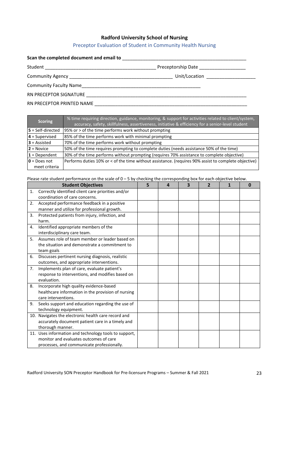#### **Radford University School of Nursing**

### Preceptor Evaluation of Student in Community Health Nursing

# **Scan the completed document and email to** \_\_\_\_\_\_\_\_\_\_\_\_\_\_\_\_\_\_\_\_\_\_\_\_\_\_\_\_\_\_\_\_\_\_\_\_\_\_\_\_\_\_\_\_\_\_\_\_

| Student | Preceptorship Date |
|---------|--------------------|
|         |                    |

Community Agency \_\_\_\_\_\_\_\_\_\_\_\_\_\_\_\_\_\_\_\_\_\_\_\_\_\_\_\_\_\_\_\_\_\_\_\_\_\_\_\_ Unit/Location \_\_\_\_\_\_\_\_\_\_\_\_\_\_\_\_\_\_\_

Community Faculty Name\_\_\_\_\_\_\_\_\_\_\_\_\_\_\_\_\_\_\_\_\_\_\_\_\_\_\_\_\_\_\_\_\_\_\_\_\_\_\_\_\_\_\_\_\_\_

RN PRECEPTOR SIGNATURE \_\_\_\_\_\_\_\_\_\_\_\_\_\_\_\_\_\_\_\_\_\_\_\_\_\_\_\_\_\_\_\_\_\_\_\_\_\_\_\_\_\_\_\_\_\_\_\_\_\_\_\_\_\_\_\_\_\_\_\_\_\_

RN PRECEPTOR PRINTED NAME \_\_\_\_\_\_\_\_\_\_\_\_\_\_\_\_\_\_\_\_\_\_\_\_\_\_\_\_\_\_\_\_\_\_\_\_\_\_\_\_\_\_\_\_\_\_\_\_\_\_\_\_\_\_\_\_\_\_\_

| <b>Scoring</b>      | % time requiring direction, guidance, monitoring, & support for activities related to client/system,<br>accuracy, safety, skillfulness, assertiveness, initiative & efficiency for a senior-level student |
|---------------------|-----------------------------------------------------------------------------------------------------------------------------------------------------------------------------------------------------------|
| $5$ = Self-directed | 95% or > of the time performs work without prompting                                                                                                                                                      |
| $4 =$ Supervised    | 85% of the time performs work with minimal prompting                                                                                                                                                      |
| $3$ = Assisted      | 70% of the time performs work without prompting                                                                                                                                                           |
| $2 = Novice$        | 50% of the time requires prompting to complete duties (needs assistance 50% of the time)                                                                                                                  |
| $1 = Dependent$     | 30% of the time performs without prompting (requires 70% assistance to complete objective)                                                                                                                |
| $0 = Does not$      | Performs duties 10% or < of the time without assistance. (requires 90% assist to complete objective)                                                                                                      |
| meet criteria       |                                                                                                                                                                                                           |

Please rate student performance on the scale of 0 – 5 by checking the corresponding box for each objective below.

| <b>Student Objectives</b> |                                                       | 5 | Δ | 3 | $\overline{2}$ | 1 | 0 |
|---------------------------|-------------------------------------------------------|---|---|---|----------------|---|---|
| 1.                        | Correctly identified client care priorities and/or    |   |   |   |                |   |   |
|                           | coordination of care concerns.                        |   |   |   |                |   |   |
| 2.                        | Accepted performance feedback in a positive           |   |   |   |                |   |   |
|                           | manner and utilize for professional growth.           |   |   |   |                |   |   |
| 3.                        | Protected patients from injury, infection, and        |   |   |   |                |   |   |
|                           | harm.                                                 |   |   |   |                |   |   |
| 4.                        | Identified appropriate members of the                 |   |   |   |                |   |   |
|                           | interdisciplinary care team.                          |   |   |   |                |   |   |
| 5.                        | Assumes role of team member or leader based on        |   |   |   |                |   |   |
|                           | the situation and demonstrate a commitment to         |   |   |   |                |   |   |
|                           | team goals                                            |   |   |   |                |   |   |
| 6.                        | Discusses pertinent nursing diagnosis, realistic      |   |   |   |                |   |   |
|                           | outcomes, and appropriate interventions.              |   |   |   |                |   |   |
| 7.                        | Implements plan of care, evaluate patient's           |   |   |   |                |   |   |
|                           | response to interventions, and modifies based on      |   |   |   |                |   |   |
|                           | evaluation.                                           |   |   |   |                |   |   |
| 8.                        | Incorporate high quality evidence-based               |   |   |   |                |   |   |
|                           | healthcare information in the provision of nursing    |   |   |   |                |   |   |
|                           | care interventions.                                   |   |   |   |                |   |   |
| 9.                        | Seeks support and education regarding the use of      |   |   |   |                |   |   |
|                           | technology equipment.                                 |   |   |   |                |   |   |
|                           | 10. Navigates the electronic health care record and   |   |   |   |                |   |   |
|                           | accurately document patient care in a timely and      |   |   |   |                |   |   |
|                           | thorough manner.                                      |   |   |   |                |   |   |
|                           | 11. Uses information and technology tools to support, |   |   |   |                |   |   |
|                           | monitor and evaluates outcomes of care                |   |   |   |                |   |   |
|                           | processes, and communicate professionally.            |   |   |   |                |   |   |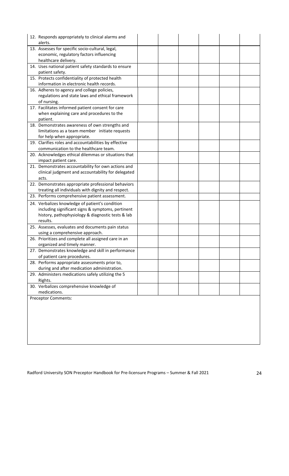|                                          | 12. Responds appropriately to clinical alarms and                                                         |  |  |  |  |  |  |
|------------------------------------------|-----------------------------------------------------------------------------------------------------------|--|--|--|--|--|--|
|                                          | alerts.                                                                                                   |  |  |  |  |  |  |
|                                          | 13. Assesses for specific socio-cultural, legal,                                                          |  |  |  |  |  |  |
| economic, regulatory factors influencing |                                                                                                           |  |  |  |  |  |  |
|                                          | healthcare delivery.                                                                                      |  |  |  |  |  |  |
|                                          | 14. Uses national patient safety standards to ensure                                                      |  |  |  |  |  |  |
|                                          | patient safety.                                                                                           |  |  |  |  |  |  |
|                                          | 15. Protects confidentiality of protected health<br>information in electronic health records.             |  |  |  |  |  |  |
|                                          | 16. Adheres to agency and college policies,                                                               |  |  |  |  |  |  |
|                                          | regulations and state laws and ethical framework                                                          |  |  |  |  |  |  |
|                                          | of nursing.                                                                                               |  |  |  |  |  |  |
|                                          | 17. Facilitates informed patient consent for care                                                         |  |  |  |  |  |  |
|                                          | when explaining care and procedures to the                                                                |  |  |  |  |  |  |
|                                          | patient.                                                                                                  |  |  |  |  |  |  |
|                                          | 18. Demonstrates awareness of own strengths and                                                           |  |  |  |  |  |  |
|                                          | limitations as a team member initiate requests                                                            |  |  |  |  |  |  |
|                                          | for help when appropriate.                                                                                |  |  |  |  |  |  |
|                                          | 19. Clarifies roles and accountabilities by effective                                                     |  |  |  |  |  |  |
|                                          | communication to the healthcare team.                                                                     |  |  |  |  |  |  |
|                                          | 20. Acknowledges ethical dilemmas or situations that                                                      |  |  |  |  |  |  |
|                                          | impact patient care.                                                                                      |  |  |  |  |  |  |
|                                          | 21. Demonstrates accountability for own actions and<br>clinical judgment and accountability for delegated |  |  |  |  |  |  |
|                                          | acts.                                                                                                     |  |  |  |  |  |  |
|                                          | 22. Demonstrates appropriate professional behaviors                                                       |  |  |  |  |  |  |
|                                          | treating all individuals with dignity and respect.                                                        |  |  |  |  |  |  |
|                                          | 23. Performs comprehensive patient assessment.                                                            |  |  |  |  |  |  |
|                                          | 24. Verbalizes knowledge of patient's condition                                                           |  |  |  |  |  |  |
|                                          | including significant signs & symptoms, pertinent                                                         |  |  |  |  |  |  |
|                                          | history, pathophysiology & diagnostic tests & lab                                                         |  |  |  |  |  |  |
|                                          | results.                                                                                                  |  |  |  |  |  |  |
|                                          | 25. Assesses, evaluates and documents pain status                                                         |  |  |  |  |  |  |
|                                          | using a comprehensive approach.                                                                           |  |  |  |  |  |  |
|                                          | 26. Prioritizes and complete all assigned care in an                                                      |  |  |  |  |  |  |
|                                          | organized and timely manner.                                                                              |  |  |  |  |  |  |
|                                          | 27. Demonstrates knowledge and skill in performance                                                       |  |  |  |  |  |  |
|                                          | of patient care procedures.                                                                               |  |  |  |  |  |  |
|                                          | 28. Performs appropriate assessments prior to,                                                            |  |  |  |  |  |  |
|                                          | during and after medication administration.                                                               |  |  |  |  |  |  |
|                                          | 29. Administers medications safely utilizing the 5<br>Rights.                                             |  |  |  |  |  |  |
|                                          | 30. Verbalizes comprehensive knowledge of                                                                 |  |  |  |  |  |  |
|                                          | medications.                                                                                              |  |  |  |  |  |  |
|                                          | <b>Preceptor Comments:</b>                                                                                |  |  |  |  |  |  |
|                                          |                                                                                                           |  |  |  |  |  |  |
|                                          |                                                                                                           |  |  |  |  |  |  |
|                                          |                                                                                                           |  |  |  |  |  |  |
|                                          |                                                                                                           |  |  |  |  |  |  |
|                                          |                                                                                                           |  |  |  |  |  |  |
|                                          |                                                                                                           |  |  |  |  |  |  |
|                                          |                                                                                                           |  |  |  |  |  |  |